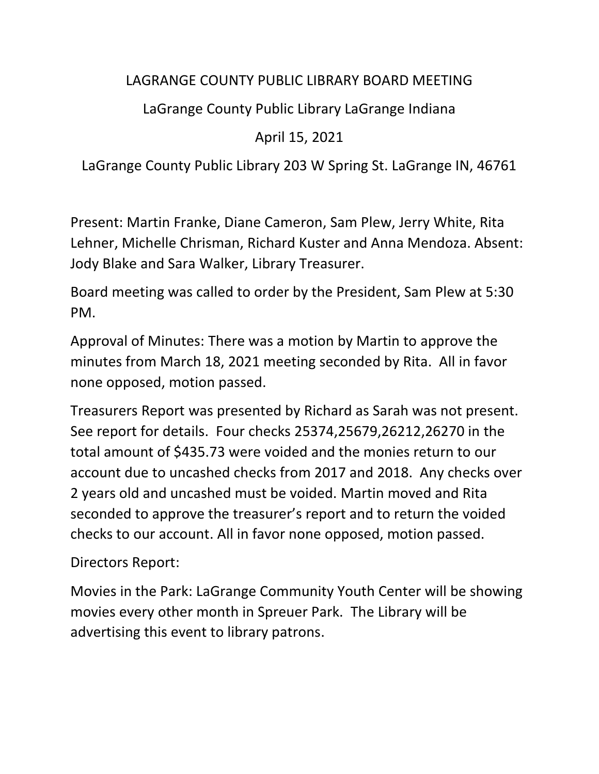## LAGRANGE COUNTY PUBLIC LIBRARY BOARD MEETING

## LaGrange County Public Library LaGrange Indiana

## April 15, 2021

LaGrange County Public Library 203 W Spring St. LaGrange IN, 46761

Present: Martin Franke, Diane Cameron, Sam Plew, Jerry White, Rita Lehner, Michelle Chrisman, Richard Kuster and Anna Mendoza. Absent: Jody Blake and Sara Walker, Library Treasurer.

Board meeting was called to order by the President, Sam Plew at 5:30 PM.

Approval of Minutes: There was a motion by Martin to approve the minutes from March 18, 2021 meeting seconded by Rita. All in favor none opposed, motion passed.

Treasurers Report was presented by Richard as Sarah was not present. See report for details. Four checks 25374,25679,26212,26270 in the total amount of \$435.73 were voided and the monies return to our account due to uncashed checks from 2017 and 2018. Any checks over 2 years old and uncashed must be voided. Martin moved and Rita seconded to approve the treasurer's report and to return the voided checks to our account. All in favor none opposed, motion passed.

Directors Report:

Movies in the Park: LaGrange Community Youth Center will be showing movies every other month in Spreuer Park. The Library will be advertising this event to library patrons.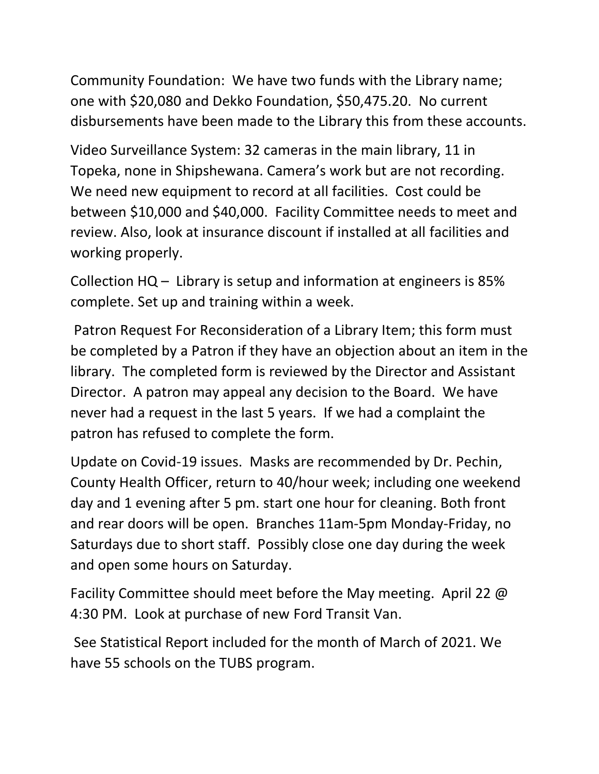Community Foundation: We have two funds with the Library name; one with \$20,080 and Dekko Foundation, \$50,475.20. No current disbursements have been made to the Library this from these accounts.

Video Surveillance System: 32 cameras in the main library, 11 in Topeka, none in Shipshewana. Camera's work but are not recording. We need new equipment to record at all facilities. Cost could be between \$10,000 and \$40,000. Facility Committee needs to meet and review. Also, look at insurance discount if installed at all facilities and working properly.

Collection HQ – Library is setup and information at engineers is 85% complete. Set up and training within a week.

Patron Request For Reconsideration of a Library Item; this form must be completed by a Patron if they have an objection about an item in the library. The completed form is reviewed by the Director and Assistant Director. A patron may appeal any decision to the Board. We have never had a request in the last 5 years. If we had a complaint the patron has refused to complete the form.

Update on Covid-19 issues. Masks are recommended by Dr. Pechin, County Health Officer, return to 40/hour week; including one weekend day and 1 evening after 5 pm. start one hour for cleaning. Both front and rear doors will be open. Branches 11am-5pm Monday-Friday, no Saturdays due to short staff. Possibly close one day during the week and open some hours on Saturday.

Facility Committee should meet before the May meeting. April 22 @ 4:30 PM. Look at purchase of new Ford Transit Van.

See Statistical Report included for the month of March of 2021. We have 55 schools on the TUBS program.